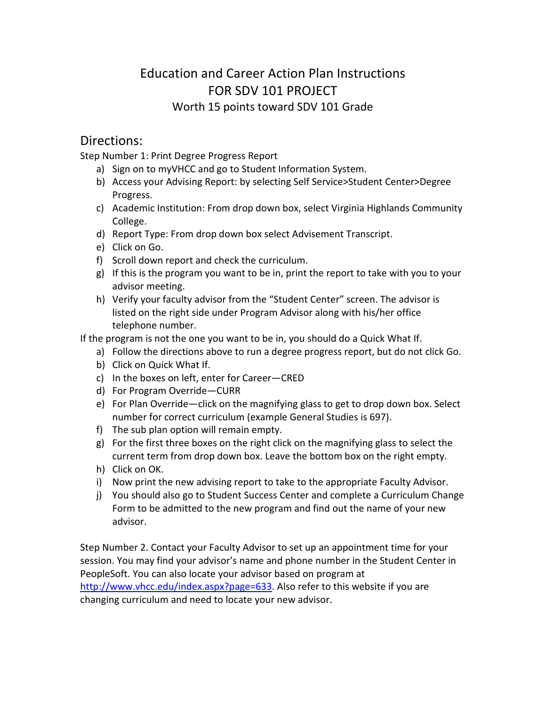## Education and Career Action Plan Instructions FOR SDV 101 PROJECT Worth 15 points toward SDV 101 Grade

## Directions:

Step Number 1: Print Degree Progress Report

- a) Sign on to myVHCC and go to Student Information System.
- b) Access your Advising Report: by selecting Self Service>Student Center>Degree Progress.
- c) Academic Institution: From drop down box, select Virginia Highlands Community College.
- d) Report Type: From drop down box select Advisement Transcript.
- e) Click on Go.
- f) Scroll down report and check the curriculum.
- g) If this is the program you want to be in, print the report to take with you to your advisor meeting.
- h) Verify your faculty advisor from the "Student Center" screen. The advisor is listed on the right side under Program Advisor along with his/her office telephone number.

If the program is not the one you want to be in, you should do a Quick What If.

- a) Follow the directions above to run a degree progress report, but do not click Go.
- b) Click on Quick What If.
- c) In the boxes on left, enter for Career—CRED
- d) For Program Override—CURR
- e) For Plan Override—click on the magnifying glass to get to drop down box. Select number for correct curriculum (example General Studies is 697).
- f) The sub plan option will remain empty.
- g) For the first three boxes on the right click on the magnifying glass to select the current term from drop down box. Leave the bottom box on the right empty.
- h) Click on OK.
- i) Now print the new advising report to take to the appropriate Faculty Advisor.
- j) You should also go to Student Success Center and complete a Curriculum Change Form to be admitted to the new program and find out the name of your new advisor.

Step Number 2. Contact your Faculty Advisor to set up an appointment time for your session. You may find your advisor's name and phone number in the Student Center in PeopleSoft. You can also locate your advisor based on program at http://www.vhcc.edu/index.aspx?page=633. Also refer to this website if you are

changing curriculum and need to locate your new advisor.